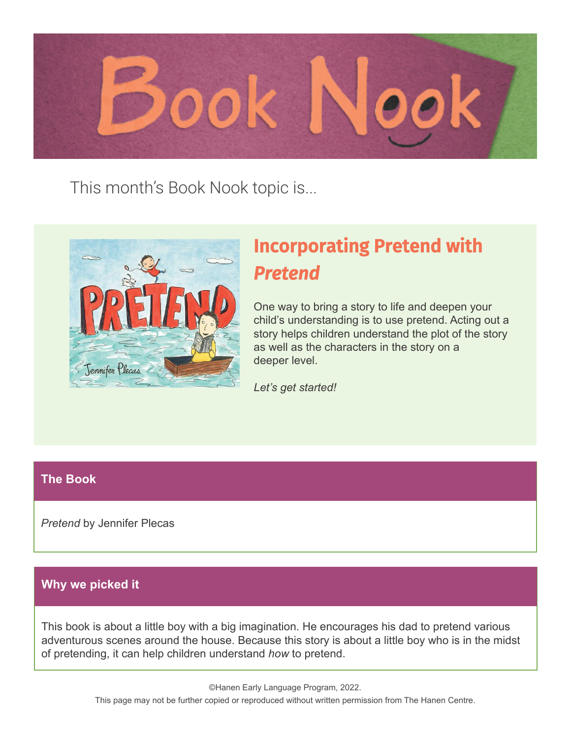

This month's Book Nook topic is...



# Incorporating Pretend with *Pretend*

One way to bring a story to life and deepen your child's understanding is to use pretend. Acting out a story helps children understand the plot of the story as well as the characters in the story on a deeper level.

*Let's get started!*

#### **The Book**

*Pretend* by Jennifer Plecas

#### **Why we picked it**

This book is about a little boy with a big imagination. He encourages his dad to pretend various adventurous scenes around the house. Because this story is about a little boy who is in the midst of pretending, it can help children understand *how* to pretend.

> ©Hanen Early Language Program, 2022. This page may not be further copied or reproduced without written permission from The Hanen Centre.